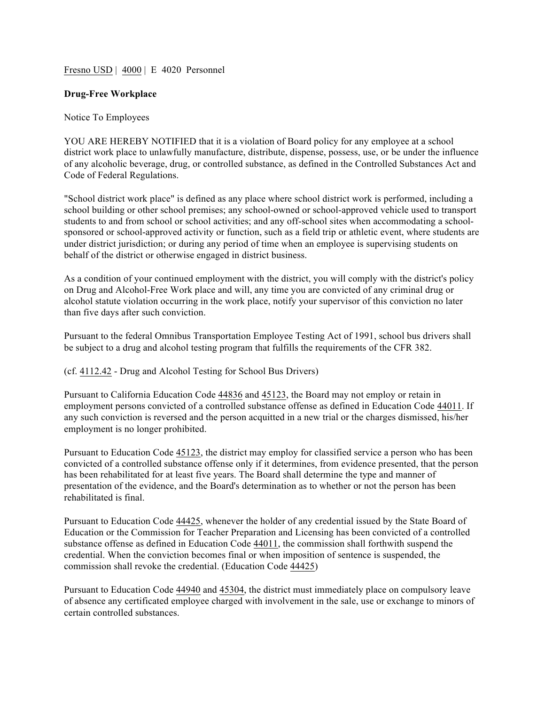Fresno USD | 4000 | E 4020 Personnel

## **Drug-Free Workplace**

## Notice To Employees

YOU ARE HEREBY NOTIFIED that it is a violation of Board policy for any employee at a school district work place to unlawfully manufacture, distribute, dispense, possess, use, or be under the influence of any alcoholic beverage, drug, or controlled substance, as defined in the Controlled Substances Act and Code of Federal Regulations.

"School district work place" is defined as any place where school district work is performed, including a school building or other school premises; any school-owned or school-approved vehicle used to transport students to and from school or school activities; and any off-school sites when accommodating a schoolsponsored or school-approved activity or function, such as a field trip or athletic event, where students are under district jurisdiction; or during any period of time when an employee is supervising students on behalf of the district or otherwise engaged in district business.

As a condition of your continued employment with the district, you will comply with the district's policy on Drug and Alcohol-Free Work place and will, any time you are convicted of any criminal drug or alcohol statute violation occurring in the work place, notify your supervisor of this conviction no later than five days after such conviction.

Pursuant to the federal Omnibus Transportation Employee Testing Act of 1991, school bus drivers shall be subject to a drug and alcohol testing program that fulfills the requirements of the CFR 382.

## (cf. 4112.42 - Drug and Alcohol Testing for School Bus Drivers)

Pursuant to California Education Code 44836 and 45123, the Board may not employ or retain in employment persons convicted of a controlled substance offense as defined in Education Code 44011. If any such conviction is reversed and the person acquitted in a new trial or the charges dismissed, his/her employment is no longer prohibited.

Pursuant to Education Code 45123, the district may employ for classified service a person who has been convicted of a controlled substance offense only if it determines, from evidence presented, that the person has been rehabilitated for at least five years. The Board shall determine the type and manner of presentation of the evidence, and the Board's determination as to whether or not the person has been rehabilitated is final.

Pursuant to Education Code 44425, whenever the holder of any credential issued by the State Board of Education or the Commission for Teacher Preparation and Licensing has been convicted of a controlled substance offense as defined in Education Code 44011, the commission shall forthwith suspend the credential. When the conviction becomes final or when imposition of sentence is suspended, the commission shall revoke the credential. (Education Code 44425)

Pursuant to Education Code 44940 and 45304, the district must immediately place on compulsory leave of absence any certificated employee charged with involvement in the sale, use or exchange to minors of certain controlled substances.